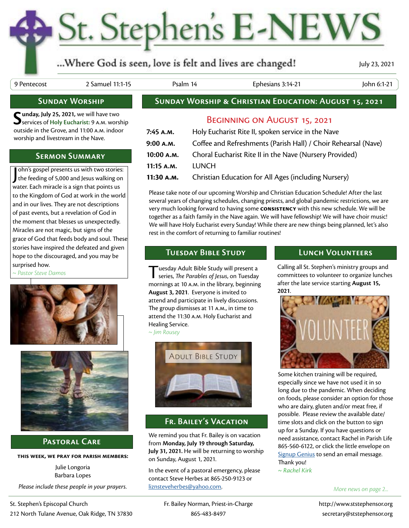## St. Stephen's E-NEWS

### ...Where God is seen, love is felt and lives are changed!

July 23, 2021

9 Pentecost 2 Samuel 11:1-15 Psalm 14 Ephesians 3:14-21 John 6:1-21

#### **Sunday Worship**

Sunday, July 25, 2021, we will have two<br>Services of Holy Eucharist: 9 A.M. worship outside in the Grove, and 11:00 a.m. indoor worship and livestream in the Nave.

#### **Sermon Summary**

John's gospel presents us with two stories:<br>the feeding of 5,000 and Jesus walking on ohn's gospel presents us with two stories: water. Each miracle is a sign that points us to the Kingdom of God at work in the world and in our lives. They are not descriptions of past events, but a revelation of God in the moment that blesses us unexpectedly. Miracles are not magic, but signs of the grace of God that feeds body and soul. These stories have inspired the defeated and given hope to the discouraged, and you may be surprised how.

*~ Pastor Steve Damos*





#### **Pastoral Care**

**this week, we pray for parish members:**

Julie Longoria Barbara Lopes

*Please include these people in your prayers.*

#### **Sunday Worship & Christian Education: August 15, 2021**

#### Beginning on August 15, 2021

| 7:45 A.M.  | Holy Eucharist Rite II, spoken service in the Nave             |
|------------|----------------------------------------------------------------|
| 9:00 а.м.  | Coffee and Refreshments (Parish Hall) / Choir Rehearsal (Nave) |
| 10:00 A.M. | Choral Eucharist Rite II in the Nave (Nursery Provided)        |
| 11:15 A.M. | LUNCH                                                          |
| 11:30 A.M. | Christian Education for All Ages (including Nursery)           |

Please take note of our upcoming Worship and Christian Education Schedule! After the last several years of changing schedules, changing priests, and global pandemic restrictions, we are very much looking forward to having some **consistency** with this new schedule. We will be together as a faith family in the Nave again. We will have fellowship! We will have choir music! We will have Holy Eucharist every Sunday! While there are new things being planned, let's also rest in the comfort of returning to familiar routines!

#### **Tuesday Bible Study Lunch Volunteers**

Tuesday Adult Bible Study will present a series, *The Parables of Jesus*, on Tuesday mornings at 10 a.m. in the library, beginning **August 3, 2021**. Everyone is invited to attend and participate in lively discussions. The group dismisses at 11 a.m., in time to attend the 11:30 a.m. Holy Eucharist and Healing Service.

*~ Jim Rousey*



#### **Fr. Bailey's Vacation**

We remind you that Fr. Bailey is on vacation from **Monday, July 19 through Saturday, July 31, 2021.** He will be returning to worship on Sunday, August 1, 2021.

In the event of a pastoral emergency, please contact Steve Herbes at 865-250-9123 or [liznsteveherbes@yahoo.com](mailto:liznsteveherbes%40yahoo.com?subject=).

Calling all St. Stephen's ministry groups and committees to volunteer to organize lunches after the late service starting **August 15, 2021**.



Some kitchen training will be required, especially since we have not used it in so long due to the pandemic. When deciding on foods, please consider an option for those who are dairy, gluten and/or meat free, if possible. Please review the available date/ time slots and click on the button to sign up for a Sunday. If you have questions or need assistance, contact Rachel in Parish Life 865-560-6122, or click the little envelope on [Signup Genius](https://www.signupgenius.com/go/8050E4BA5A72FA64-lets) to send an email message. Thank you!

*~ Rachel Kirk*

#### *More news on page 2...*